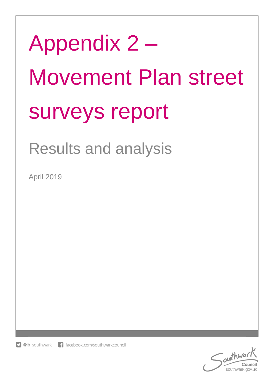# Appendix 2 – Movement Plan street surveys report

# Results and analysis

April 2019

f facebook.com/southwarkcouncil  $\Box$  @lb southwark

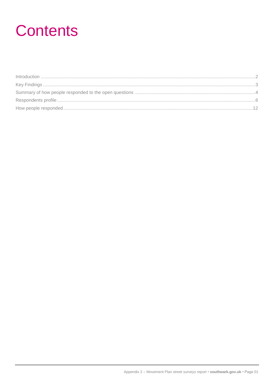### **Contents**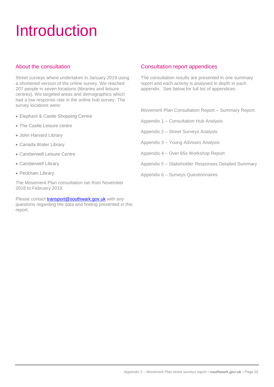# <span id="page-2-0"></span>Introduction

#### About the consultation

Street surveys where undertaken in January 2019 using a shortened version of the online survey. We reached 207 people in seven locations (libraries and leisure centres). We targeted areas and demographics which had a low response rate in the online hub survey. The survey locations were:

- Elephant & Castle Shopping Centre
- The Castle Leisure centre
- John Harvard Library
- Canada Water Library
- Camberwell Leisure Centre
- Camberwell Library
- Peckham Library

The Movement Plan consultation ran from November 2018 to February 2019.

Please contact [transport@southwark.gov.uk](mailto:transport@southwark.gov.uk) with any questions regarding the data and finding presented in this report.

#### Consultation report appendices

The consultation results are presented in one summary report and each activity is analysed in depth in each appendix. See below for full list of appendices.

Movement Plan Consultation Report – Summary Report

Appendix 1 – Consultation Hub Analysis

Appendix 2 – Street Surveys Analysis

Appendix 3 – Young Advisors Analysis

Appendix 4 – Over 65s Workshop Report

Appendix 5 – Stakeholder Responses Detailed Summary

Appendix 6 – Surveys Questionnaires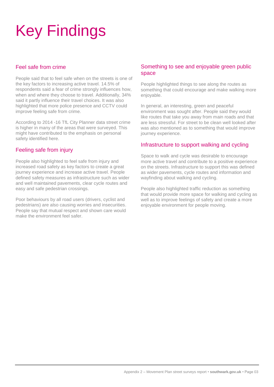# <span id="page-3-0"></span>Key Findings

#### Feel safe from crime

People said that to feel safe when on the streets is one of the key factors to increasing active travel. 14.5% of respondents said a fear of crime strongly influences how, when and where they choose to travel. Additionally, 34% said it partly influence their travel choices. It was also highlighted that more police presence and CCTV could improve feeling safe from crime.

According to 2014 -16 TfL City Planner data street crime is higher in many of the areas that were surveyed. This might have contributed to the emphasis on personal safety identified here.

#### Feeling safe from injury

People also highlighted to feel safe from injury and increased road safety as key factors to create a great journey experience and increase active travel. People defined safety measures as infrastructure such as wider and well maintained pavements, clear cycle routes and easy and safe pedestrian crossings.

Poor behaviours by all road users (drivers, cyclist and pedestrians) are also causing worries and insecurities. People say that mutual respect and shown care would make the environment feel safer

#### Something to see and enjoyable green public space

People highlighted things to see along the routes as something that could encourage and make walking more enjoyable.

In general, an interesting, green and peaceful environment was sought after. People said they would like routes that take you away from main roads and that are less stressful. For street to be clean well looked after was also mentioned as to something that would improve journey experience.

#### Infrastructure to support walking and cycling

Space to walk and cycle was desirable to encourage more active travel and contribute to a positive experience on the streets. Infrastructure to support this was defined as wider pavements, cycle routes and information and wayfinding about walking and cycling.

People also highlighted traffic reduction as something that would provide more space for walking and cycling as well as to improve feelings of safety and create a more enjoyable environment for people moving.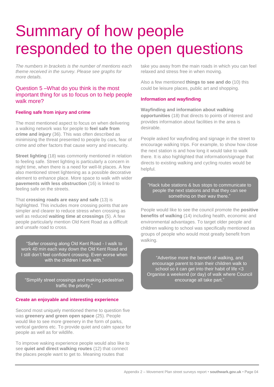# <span id="page-4-0"></span>Summary of how people responded to the open questions

*The numbers in brackets is the number of mentions each theme received in the survey. Please see graphs for more details.* 

#### Question 5 –What do you think is the most important thing for us to focus on to help people walk more?

#### **Feeling safe from injury and crime**

The most mentioned aspect to focus on when delivering a walking network was for people to **feel safe from crime and injury** (36). This was often described as minimising the threat presented to people by cars, fear of crime and other factors that cause worry and insecurity.

**Street lighting** (18) was commonly mentioned in relation to feeling safe. Street lighting is particularly a concern in night time, when there is a need for well-lit places. A few also mentioned street lightening as a possible decorative element to enhance place. More space to walk with wider **pavements with less obstruction** (16) is linked to feeling safe on the streets.

That **crossing roads are easy and safe** (13) is highlighted. This includes more crossing points that are simpler and clearer to reduce stress when crossing as well as reduced **waiting time at crossings** (5). A few people particularly mention Old Kent Road as a difficult and unsafe road to cross.

"Safer crossing along Old Kent Road - I walk to work 40 min each way down the Old Kent Road and I still don't feel confident crossing. Even worse when with the children I work with.'

"Simplify street crossings and making pedestrian traffic the priority."

#### **Create an enjoyable and interesting experience**

Second most uniquely mentioned theme to question five was **greenery and green open space** (25). People would like to see more greenery in the form of parks, vertical gardens etc. To provide quiet and calm space for people as well as for wildlife.

To improve waking experience people would also like to see **quiet and direct walking routes** (12) that connect the places people want to get to. Meaning routes that

take you away from the main roads in which you can feel relaxed and stress free in when moving.

Also a few mentioned **things to see and do** (10) this could be leisure places, public art and shopping.

#### **Information and wayfinding**

**Wayfinding and information about walking opportunities** (18) that directs to points of interest and provides information about facilities in the area is desirable.

People asked for wayfinding and signage in the street to encourage walking trips. For example, to show how close the next station is and how long it would take to walk there. It is also highlighted that information/signage that directs to existing walking and cycling routes would be helpful.

"Hack tube stations & bus stops to communicate to people the next stations and that they can see something on their way there.

People would like to see the council promote the **positive benefits of walking** (14) including health, economic and environmental advantages. To target older people and children walking to school was specifically mentioned as groups of people who would most greatly benefit from walking.

"Advertise more the benefit of walking, and encourage parent to train their children walk to school so it can get into their habit of life <3 Organise a weekend (or day) of walk where Council encourage all take part."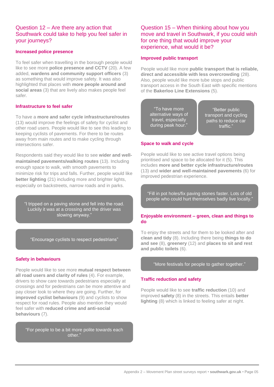#### Question 12 – Are there any action that Southwark could take to help you feel safer in your journeys?

#### **Increased police presence**

To feel safer when travelling in the borough people would like to see more **police presence and CCTV** (20). A few added, **wardens and community support officers** (3) as something that would improve safety. It was also highlighted that places with **more people around and social areas** (3) that are lively also makes people feel safer.

#### **Infrastructure to feel safer**

To have a **more and safer cycle infrastructure/routes** (13) would improve the feelings of safety for cyclist and other road users. People would like to see this leading to keeping cyclists of pavements. For there to be routes away from main routes and to make cycling through intersections safer.

Respondents said they would like to see **wider and wellmaintained pavements/walking routes** (13). Including enough space to walk, with smooth pavements to minimize risk for trips and falls. Further, people would like **better lighting** (21) including more and brighter lights, especially on backstreets, narrow roads and in parks.

"I tripped on a paving stone and fell into the road. Luckily it was at a crossing and the driver was slowing anyway."

"Encourage cyclists to respect pedestrians"

#### **Safety in behaviours**

People would like to see more **mutual respect between all road users and clarity of rules** (4). For example, drivers to show care towards pedestrians especially at crossings and for pedestrians can be more attentive and pay closer look to where they are going. Further, for **improved cyclist behaviours** (9) and cyclists to show respect for road rules. People also mention they would feel safer with **reduced crime and anti-social behaviours** (7).

"For people to be a bit more polite towards each other.

#### Question 15 – When thinking about how you move and travel in Southwark, if you could wish for one thing that would improve your experience, what would it be?

#### **Improved public transport**

People would like more **public transport that is reliable, direct and accessible with less overcrowding** (28). Also, people would like more tube stops and public transport access in the South East with specific mentions of the **Bakerloo Line Extensions** (5).

"To have more alternative ways of travel, especially during peak hour."

"Better public transport and cycling paths to reduce car traffic."

#### **Space to walk and cycle**

People would like to see active travel options being prioritised and space to be allocated for it (5). This includes **more and better cycle infrastructure/routes** (13) and **wider and well-maintained pavements** (6) for improved pedestrian experience.

"Fill in pot holes/fix paving stones faster. Lots of old people who could hurt themselves badly live locally."

#### **Enjoyable environment – green, clean and things to do**

To enjoy the streets and for them to be looked after and **clean and tidy** (8). Including there being **things to do and see** (8), **greenery** (12) and **places to sit and rest and public toilets** (6).

#### "More festivals for people to gather together."

#### **Traffic reduction and safety**

People would like to see **traffic reduction** (10) and improved **safety** (8) in the streets. This entails **better lighting** (8) which is linked to feeling safer at night.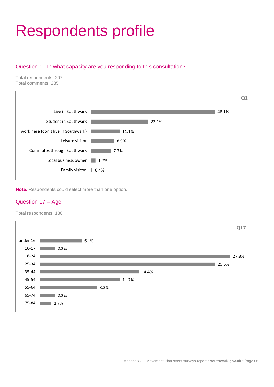# <span id="page-6-0"></span>Respondents profile

#### Question 1– In what capacity are you responding to this consultation?

Total respondents: 207 Total comments: 235



**Note:** Respondents could select more than one option.

#### Question 17 – Age

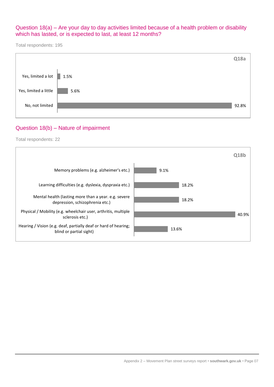#### Question 18(a) – Are your day to day activities limited because of a health problem or disability which has lasted, or is expected to last, at least 12 months?

Total respondents: 195



#### Question 18(b) – Nature of impairment

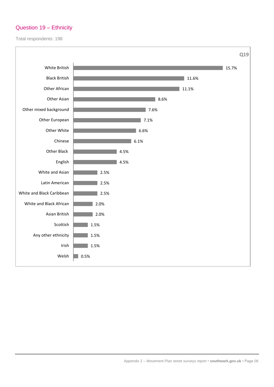#### Question 19 – Ethnicity

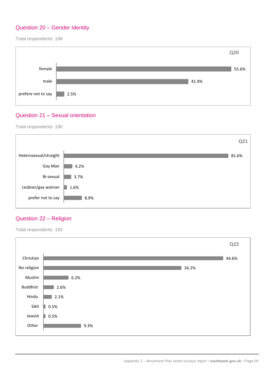#### Question 20 – Gender Identity

Total respondents: 198



#### Question 21 – Sexual orientation

Total respondents: 190



#### Question 22 – Religion

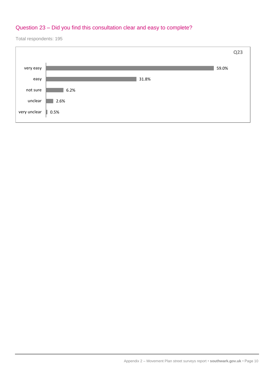#### Question 23 – Did you find this consultation clear and easy to complete?

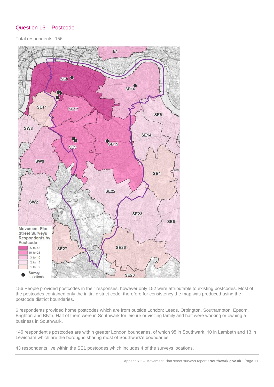#### Question 16 – Postcode

Total respondents: 156



156 People provided postcodes in their responses, however only 152 were attributable to existing postcodes. Most of the postcodes contained only the initial district code; therefore for consistency the map was produced using the postcode district boundaries.

6 respondents provided home postcodes which are from outside London: Leeds, Orpington, Southampton, Epsom, Brighton and Blyth. Half of them were in Southwark for leisure or visiting family and half were working or owning a business in Southwark.

146 respondent's postcodes are within greater London boundaries, of which 95 in Southwark, 10 in Lambeth and 13 in Lewisham which are the boroughs sharing most of Southwark's boundaries.

43 respondents live within the SE1 postcodes which includes 4 of the surveys locations.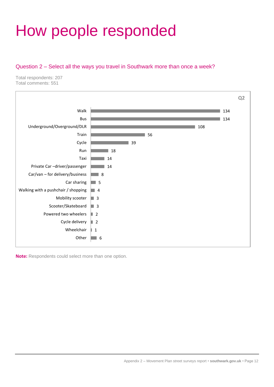# <span id="page-12-0"></span>How people responded

#### Question 2 – Select all the ways you travel in Southwark more than once a week?

Total respondents: 207 Total comments: 551



**Note:** Respondents could select more than one option.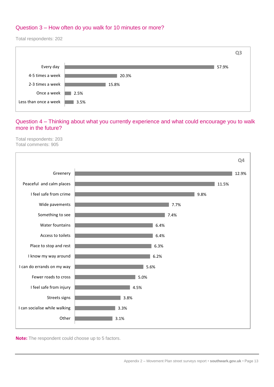#### Question 3 – How often do you walk for 10 minutes or more?

Total respondents: 202



#### Question 4 – Thinking about what you currently experience and what could encourage you to walk more in the future?

Total respondents: 203 Total comments: 905



**Note:** The respondent could choose up to 5 factors.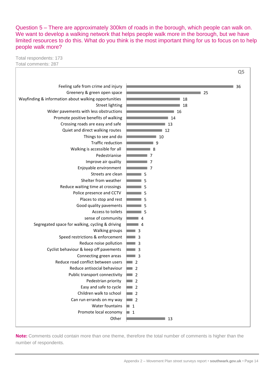Question 5 – There are approximately 300km of roads in the borough, which people can walk on. We want to develop a walking network that helps people walk more in the borough, but we have limited resources to do this. What do you think is the most important thing for us to focus on to help people walk more?

Total respondents: 173 Total comments: 287



**Note:** Comments could contain more than one theme, therefore the total number of comments is higher than the number of respondents.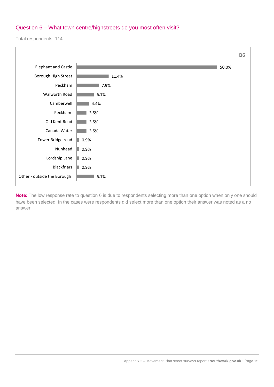#### Question 6 – What town centre/highstreets do you most often visit?

Total respondents: 114



**Note:** The low response rate to question 6 is due to respondents selecting more than one option when only one should have been selected. In the cases were respondents did select more than one option their answer was noted as a no answer.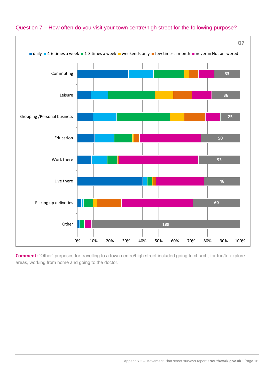

#### Question 7 – How often do you visit your town centre/high street for the following purpose?

**Comment:** "Other" purposes for travelling to a town centre/high street included going to church, for fun/to explore areas, working from home and going to the doctor.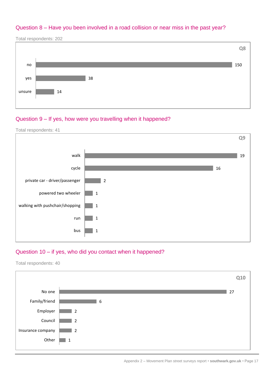#### Question 8 – Have you been involved in a road collision or near miss in the past year?

Total respondents: 202



#### Question 9 – If yes, how were you travelling when it happened?

Total respondents: 41



#### Question 10 – if yes, who did you contact when it happened?

Total respondents: 40



Appendix 2 – Movement Plan street surveys report • **southwark.gov.uk** • Page 17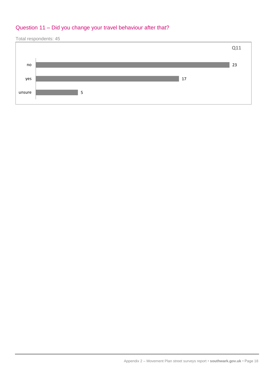#### Question 11 – Did you change your travel behaviour after that?



Appendix 2 – Movement Plan street surveys report • **southwark.gov.uk** • Page 18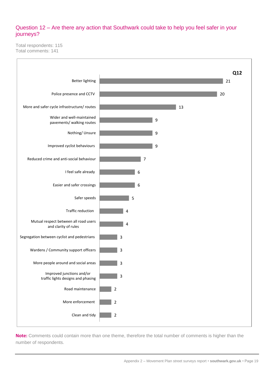#### Question 12 – Are there any action that Southwark could take to help you feel safer in your journeys?

Total respondents: 115 Total comments: 141



**Note:** Comments could contain more than one theme, therefore the total number of comments is higher than the number of respondents.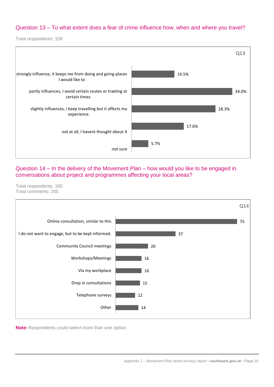#### Question 13 – To what extent does a fear of crime influence how, when and where you travel?

Total respondents: 159



Question 14 – In the delivery of the Movement Plan – how would you like to be engaged in conversations about project and programmes affecting your local areas?

Total respondents: 160 Total comments: 205



**Note:** Respondents could select more than one option.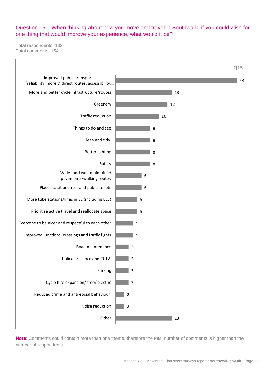#### Question 15 – When thinking about how you move and travel in Southwark, if you could wish for one thing that would improve your experience, what would it be?

Total respondents: 132 Total comments: 154



**Note**: Comments could contain more than one theme, therefore the total number of comments is higher than the number of respondents.